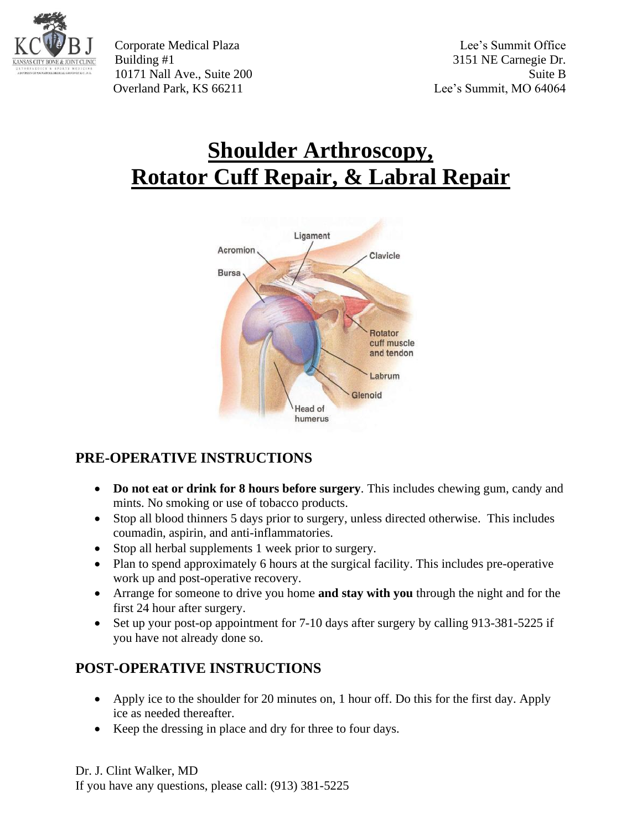

Corporate Medical Plaza Lee's Summit Office Building #1 3151 NE Carnegie Dr. 10171 Nall Ave., Suite 200 Suite B Overland Park, KS 66211 Lee's Summit, MO 64064

# **Shoulder Arthroscopy, Rotator Cuff Repair, & Labral Repair**



## **PRE-OPERATIVE INSTRUCTIONS**

- **Do not eat or drink for 8 hours before surgery**. This includes chewing gum, candy and mints. No smoking or use of tobacco products.
- Stop all blood thinners 5 days prior to surgery, unless directed otherwise. This includes coumadin, aspirin, and anti-inflammatories.
- Stop all herbal supplements 1 week prior to surgery.
- Plan to spend approximately 6 hours at the surgical facility. This includes pre-operative work up and post-operative recovery.
- Arrange for someone to drive you home **and stay with you** through the night and for the first 24 hour after surgery.
- Set up your post-op appointment for 7-10 days after surgery by calling 913-381-5225 if you have not already done so.

## **POST-OPERATIVE INSTRUCTIONS**

- Apply ice to the shoulder for 20 minutes on, 1 hour off. Do this for the first day. Apply ice as needed thereafter.
- Keep the dressing in place and dry for three to four days.

Dr. J. Clint Walker, MD If you have any questions, please call: (913) 381-5225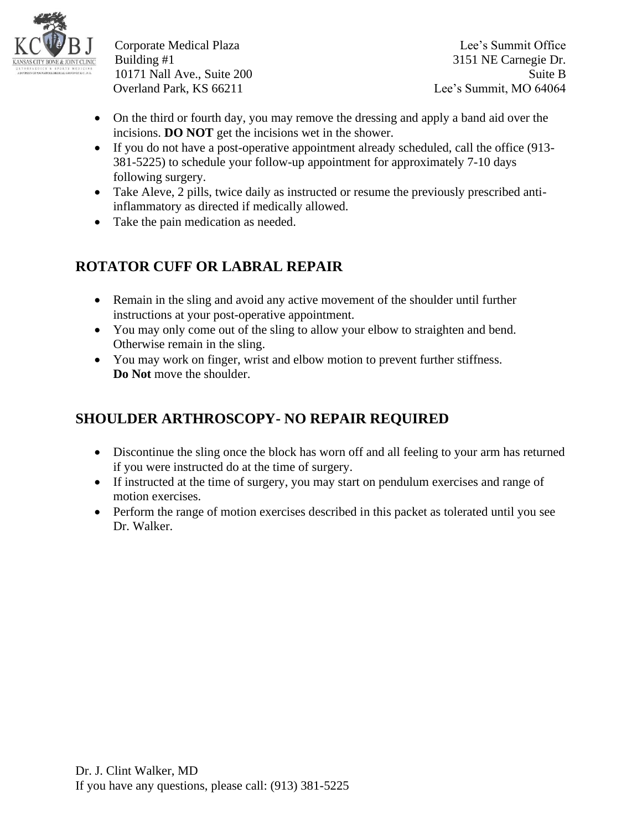

Corporate Medical Plaza Lee's Summit Office Building #1 3151 NE Carnegie Dr. 10171 Nall Ave., Suite 200 Suite B Overland Park, KS 66211 Lee's Summit, MO 64064

- On the third or fourth day, you may remove the dressing and apply a band aid over the incisions. **DO NOT** get the incisions wet in the shower.
- If you do not have a post-operative appointment already scheduled, call the office (913- 381-5225) to schedule your follow-up appointment for approximately 7-10 days following surgery.
- Take Aleve, 2 pills, twice daily as instructed or resume the previously prescribed antiinflammatory as directed if medically allowed.
- Take the pain medication as needed.

## **ROTATOR CUFF OR LABRAL REPAIR**

- Remain in the sling and avoid any active movement of the shoulder until further instructions at your post-operative appointment.
- You may only come out of the sling to allow your elbow to straighten and bend. Otherwise remain in the sling.
- You may work on finger, wrist and elbow motion to prevent further stiffness. **Do Not** move the shoulder.

## **SHOULDER ARTHROSCOPY- NO REPAIR REQUIRED**

- Discontinue the sling once the block has worn off and all feeling to your arm has returned if you were instructed do at the time of surgery.
- If instructed at the time of surgery, you may start on pendulum exercises and range of motion exercises.
- Perform the range of motion exercises described in this packet as tolerated until you see Dr. Walker.